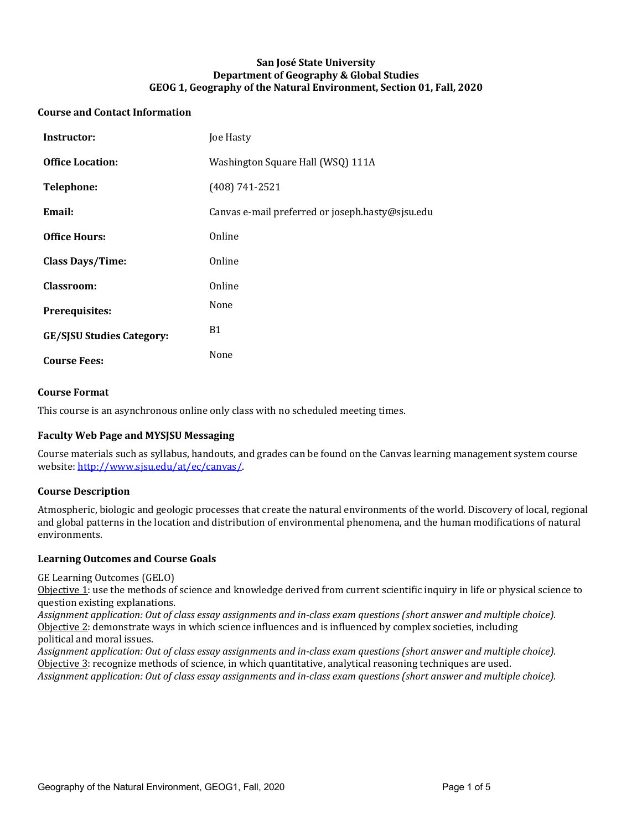## **San José State University Department of Geography & Global Studies** GEOG 1, Geography of the Natural Environment, Section 01, Fall, 2020

### **Course and Contact Information**

| Instructor:                      | Joe Hasty                                        |
|----------------------------------|--------------------------------------------------|
| <b>Office Location:</b>          | Washington Square Hall (WSQ) 111A                |
| <b>Telephone:</b>                | $(408) 741 - 2521$                               |
| Email:                           | Canvas e-mail preferred or joseph.hasty@sjsu.edu |
| <b>Office Hours:</b>             | Online                                           |
| <b>Class Days/Time:</b>          | Online                                           |
| Classroom:                       | Online                                           |
| Prerequisites:                   | None                                             |
| <b>GE/SISU Studies Category:</b> | <b>B1</b>                                        |
| <b>Course Fees:</b>              | None                                             |

## **Course Format**

This course is an asynchronous online only class with no scheduled meeting times.

## **Faculty Web Page and MYSISU Messaging**

Course materials such as syllabus, handouts, and grades can be found on the Canvas learning management system course website: http://www.sjsu.edu/at/ec/canvas/.

#### **Course Description**

Atmospheric, biologic and geologic processes that create the natural environments of the world. Discovery of local, regional and global patterns in the location and distribution of environmental phenomena, and the human modifications of natural environments.

#### **Learning Outcomes and Course Goals**

GE Learning Outcomes (GELO)

Objective 1: use the methods of science and knowledge derived from current scientific inquiry in life or physical science to question existing explanations.

Assignment application: Out of class essay assignments and in-class exam questions (short answer and multiple choice). Objective 2: demonstrate ways in which science influences and is influenced by complex societies, including political and moral issues.

Assignment application: Out of class essay assignments and in-class exam questions (short answer and multiple choice). Objective 3: recognize methods of science, in which quantitative, analytical reasoning techniques are used. Assignment application: Out of class essay assignments and in-class exam questions (short answer and multiple choice).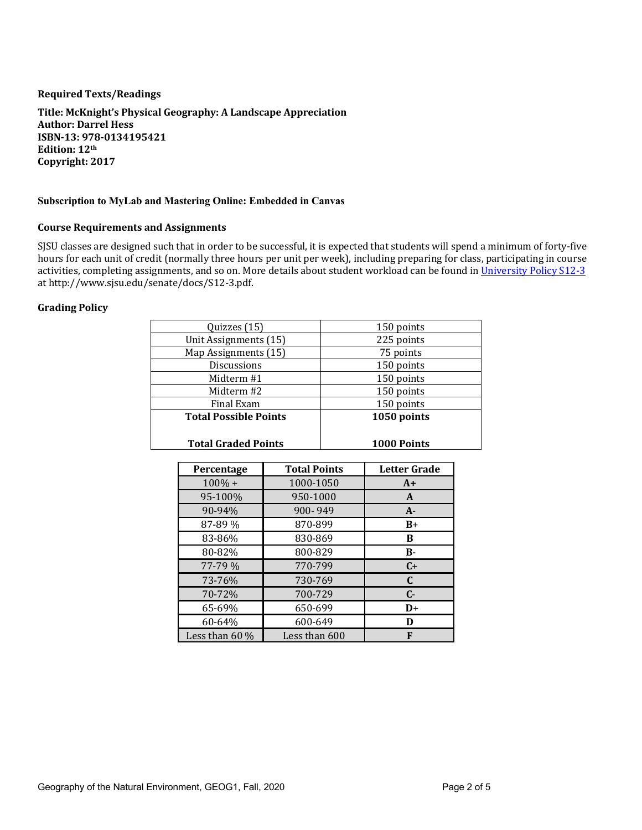#### **Required Texts/Readings**

**Title: McKnight's Physical Geography: A Landscape Appreciation Author: Darrel Hess ISBN-13: 978-0134195421 Edition: 12th Copyright: 2017**

#### **Subscription to MyLab and Mastering Online: Embedded in Canvas**

#### **Course Requirements and Assignments**

SJSU classes are designed such that in order to be successful, it is expected that students will spend a minimum of forty-five hours for each unit of credit (normally three hours per unit per week), including preparing for class, participating in course activities, completing assignments, and so on. More details about student workload can be found in University Policy S12-3 at http://www.sjsu.edu/senate/docs/S12-3.pdf.

## **Grading Policy**

| <b>Total Graded Points</b>   | <b>1000 Points</b> |
|------------------------------|--------------------|
| <b>Total Possible Points</b> | 1050 points        |
| Final Exam                   | 150 points         |
| Midterm #2                   | 150 points         |
| Midterm #1                   | 150 points         |
| <b>Discussions</b>           | 150 points         |
| Map Assignments (15)         | 75 points          |
| Unit Assignments (15)        | 225 points         |
| Quizzes (15)                 | 150 points         |
|                              |                    |

| Percentage       | <b>Total Points</b> | <b>Letter Grade</b> |
|------------------|---------------------|---------------------|
| $100\% +$        | 1000-1050           | $A+$                |
| 95-100%          | 950-1000            | A                   |
| 90-94%           | 900-949             | $A -$               |
| 87-89 %          | 870-899             | $B+$                |
| 83-86%           | 830-869             | в                   |
| 80-82%           | 800-829             | $B -$               |
| $77 - 79\%$      | 770-799             | $C+$                |
| 73-76%           | 730-769             | C                   |
| 70-72%           | 700-729             | $C-$                |
| 65-69%           | 650-699             | $D+$                |
| 60-64%           | 600-649             | D                   |
| Less than $60\%$ | Less than 600       | F                   |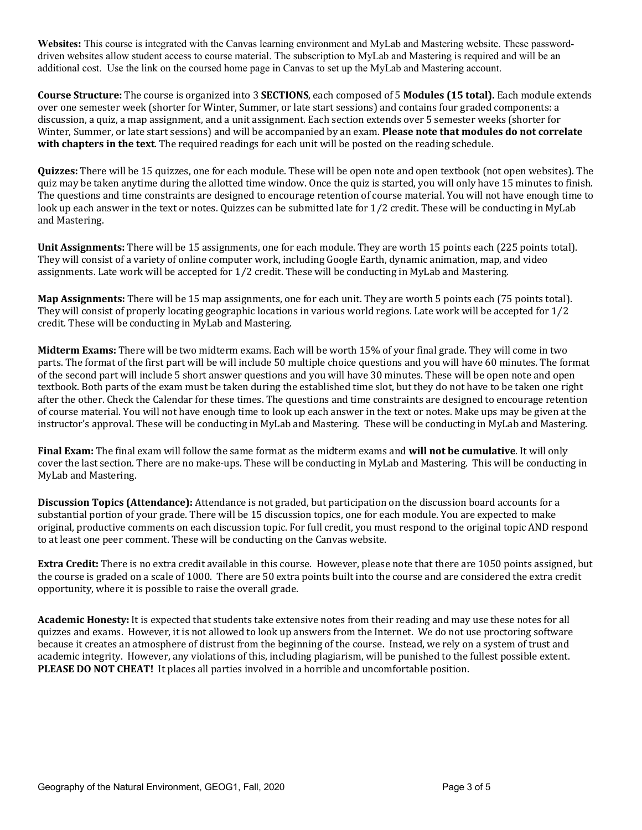**Websites:** This course is integrated with the Canvas learning environment and MyLab and Mastering website. These passworddriven websites allow student access to course material. The subscription to MyLab and Mastering is required and will be an additional cost. Use the link on the coursed home page in Canvas to set up the MyLab and Mastering account.

**Course Structure:** The course is organized into 3 **SECTIONS**, each composed of 5 **Modules (15 total).** Each module extends over one semester week (shorter for Winter, Summer, or late start sessions) and contains four graded components: a discussion, a quiz, a map assignment, and a unit assignment. Each section extends over 5 semester weeks (shorter for Winter, Summer, or late start sessions) and will be accompanied by an exam. **Please note that modules do not correlate with chapters in the text**. The required readings for each unit will be posted on the reading schedule.

**Quizzes:** There will be 15 quizzes, one for each module. These will be open note and open textbook (not open websites). The quiz may be taken anytime during the allotted time window. Once the quiz is started, you will only have 15 minutes to finish. The questions and time constraints are designed to encourage retention of course material. You will not have enough time to look up each answer in the text or notes. Quizzes can be submitted late for  $1/2$  credit. These will be conducting in MyLab and Mastering.

**Unit Assignments:** There will be 15 assignments, one for each module. They are worth 15 points each (225 points total). They will consist of a variety of online computer work, including Google Earth, dynamic animation, map, and video assignments. Late work will be accepted for  $1/2$  credit. These will be conducting in MyLab and Mastering.

**Map Assignments:** There will be 15 map assignments, one for each unit. They are worth 5 points each (75 points total). They will consist of properly locating geographic locations in various world regions. Late work will be accepted for  $1/2$ credit. These will be conducting in MyLab and Mastering.

**Midterm Exams:** There will be two midterm exams. Each will be worth 15% of your final grade. They will come in two parts. The format of the first part will be will include 50 multiple choice questions and you will have 60 minutes. The format of the second part will include 5 short answer questions and you will have 30 minutes. These will be open note and open textbook. Both parts of the exam must be taken during the established time slot, but they do not have to be taken one right after the other. Check the Calendar for these times. The questions and time constraints are designed to encourage retention of course material. You will not have enough time to look up each answer in the text or notes. Make ups may be given at the instructor's approval. These will be conducting in MyLab and Mastering. These will be conducting in MyLab and Mastering.

**Final Exam:** The final exam will follow the same format as the midterm exams and **will not be cumulative**. It will only cover the last section. There are no make-ups. These will be conducting in MyLab and Mastering. This will be conducting in MyLab and Mastering.

**Discussion Topics (Attendance):** Attendance is not graded, but participation on the discussion board accounts for a substantial portion of your grade. There will be 15 discussion topics, one for each module. You are expected to make original, productive comments on each discussion topic. For full credit, you must respond to the original topic AND respond to at least one peer comment. These will be conducting on the Canvas website.

**Extra Credit:** There is no extra credit available in this course. However, please note that there are 1050 points assigned, but the course is graded on a scale of 1000. There are 50 extra points built into the course and are considered the extra credit opportunity, where it is possible to raise the overall grade.

**Academic Honesty:** It is expected that students take extensive notes from their reading and may use these notes for all quizzes and exams. However, it is not allowed to look up answers from the Internet. We do not use proctoring software because it creates an atmosphere of distrust from the beginning of the course. Instead, we rely on a system of trust and academic integrity. However, any violations of this, including plagiarism, will be punished to the fullest possible extent. **PLEASE DO NOT CHEAT!** It places all parties involved in a horrible and uncomfortable position.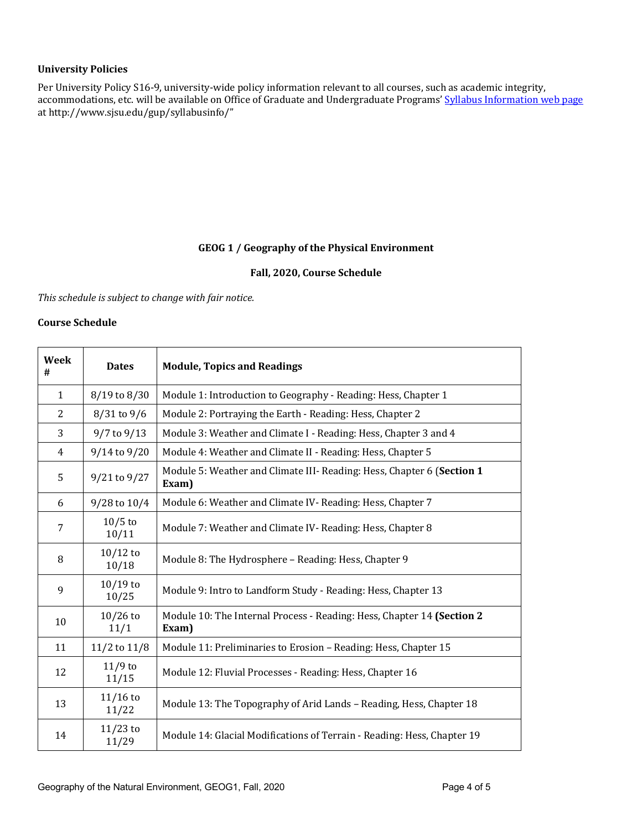## **University Policies**

Per University Policy S16-9, university-wide policy information relevant to all courses, such as academic integrity, accommodations, etc. will be available on Office of Graduate and Undergraduate Programs' Syllabus Information web page at http://www.sjsu.edu/gup/syllabusinfo/"

# GEOG 1 / Geography of the Physical Environment

#### Fall, 2020, Course Schedule

This schedule is subject to change with fair notice.

# **Course Schedule**

| Week<br>#    | <b>Dates</b>        | <b>Module, Topics and Readings</b>                                              |
|--------------|---------------------|---------------------------------------------------------------------------------|
| $\mathbf{1}$ | 8/19 to 8/30        | Module 1: Introduction to Geography - Reading: Hess, Chapter 1                  |
| 2            | $8/31$ to $9/6$     | Module 2: Portraying the Earth - Reading: Hess, Chapter 2                       |
| 3            | $9/7$ to $9/13$     | Module 3: Weather and Climate I - Reading: Hess, Chapter 3 and 4                |
| 4            | 9/14 to 9/20        | Module 4: Weather and Climate II - Reading: Hess, Chapter 5                     |
| 5            | 9/21 to 9/27        | Module 5: Weather and Climate III- Reading: Hess, Chapter 6 (Section 1<br>Exam) |
| 6            | 9/28 to 10/4        | Module 6: Weather and Climate IV- Reading: Hess, Chapter 7                      |
| 7            | $10/5$ to<br>10/11  | Module 7: Weather and Climate IV- Reading: Hess, Chapter 8                      |
| 8            | $10/12$ to<br>10/18 | Module 8: The Hydrosphere - Reading: Hess, Chapter 9                            |
| 9            | $10/19$ to<br>10/25 | Module 9: Intro to Landform Study - Reading: Hess, Chapter 13                   |
| 10           | $10/26$ to<br>11/1  | Module 10: The Internal Process - Reading: Hess, Chapter 14 (Section 2<br>Exam) |
| 11           | 11/2 to 11/8        | Module 11: Preliminaries to Erosion - Reading: Hess, Chapter 15                 |
| 12           | $11/9$ to<br>11/15  | Module 12: Fluvial Processes - Reading: Hess, Chapter 16                        |
| 13           | $11/16$ to<br>11/22 | Module 13: The Topography of Arid Lands - Reading, Hess, Chapter 18             |
| 14           | $11/23$ to<br>11/29 | Module 14: Glacial Modifications of Terrain - Reading: Hess, Chapter 19         |